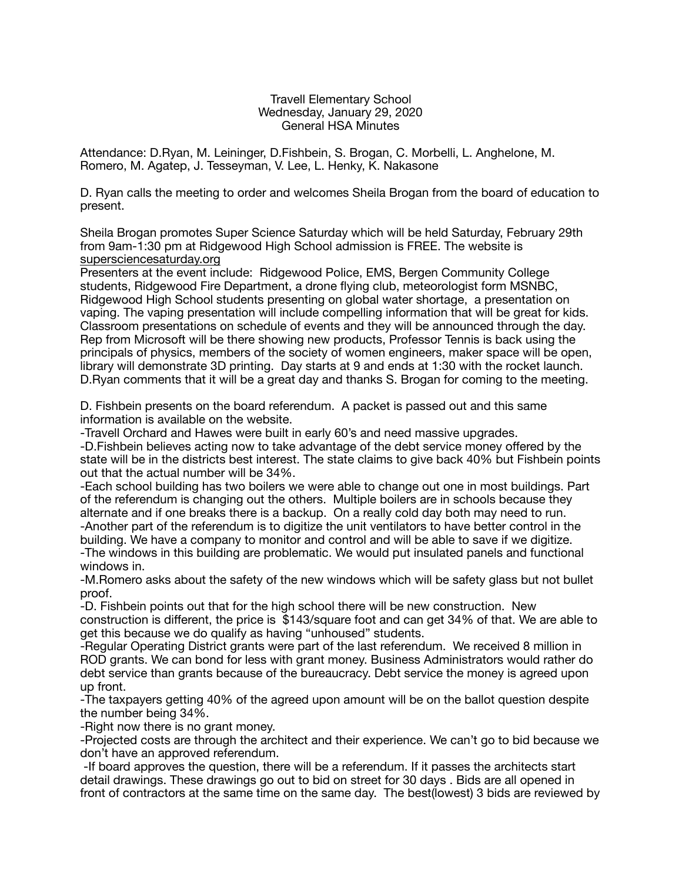## Travell Elementary School Wednesday, January 29, 2020 General HSA Minutes

Attendance: D.Ryan, M. Leininger, D.Fishbein, S. Brogan, C. Morbelli, L. Anghelone, M. Romero, M. Agatep, J. Tesseyman, V. Lee, L. Henky, K. Nakasone

D. Ryan calls the meeting to order and welcomes Sheila Brogan from the board of education to present.

Sheila Brogan promotes Super Science Saturday which will be held Saturday, February 29th from 9am-1:30 pm at Ridgewood High School admission is FREE. The website is [supersciencesaturday.org](http://supersciencesaturday.org)

Presenters at the event include: Ridgewood Police, EMS, Bergen Community College students, Ridgewood Fire Department, a drone flying club, meteorologist form MSNBC, Ridgewood High School students presenting on global water shortage, a presentation on vaping. The vaping presentation will include compelling information that will be great for kids. Classroom presentations on schedule of events and they will be announced through the day. Rep from Microsoft will be there showing new products, Professor Tennis is back using the principals of physics, members of the society of women engineers, maker space will be open, library will demonstrate 3D printing. Day starts at 9 and ends at 1:30 with the rocket launch. D.Ryan comments that it will be a great day and thanks S. Brogan for coming to the meeting.

D. Fishbein presents on the board referendum. A packet is passed out and this same information is available on the website.

-Travell Orchard and Hawes were built in early 60's and need massive upgrades.

-D.Fishbein believes acting now to take advantage of the debt service money offered by the state will be in the districts best interest. The state claims to give back 40% but Fishbein points out that the actual number will be 34%.

-Each school building has two boilers we were able to change out one in most buildings. Part of the referendum is changing out the others. Multiple boilers are in schools because they alternate and if one breaks there is a backup. On a really cold day both may need to run. -Another part of the referendum is to digitize the unit ventilators to have better control in the building. We have a company to monitor and control and will be able to save if we digitize. -The windows in this building are problematic. We would put insulated panels and functional windows in.

-M.Romero asks about the safety of the new windows which will be safety glass but not bullet proof.

-D. Fishbein points out that for the high school there will be new construction. New construction is different, the price is \$143/square foot and can get 34% of that. We are able to get this because we do qualify as having "unhoused" students.

-Regular Operating District grants were part of the last referendum. We received 8 million in ROD grants. We can bond for less with grant money. Business Administrators would rather do debt service than grants because of the bureaucracy. Debt service the money is agreed upon up front.

-The taxpayers getting 40% of the agreed upon amount will be on the ballot question despite the number being 34%.

-Right now there is no grant money.

-Projected costs are through the architect and their experience. We can't go to bid because we don't have an approved referendum.

 -If board approves the question, there will be a referendum. If it passes the architects start detail drawings. These drawings go out to bid on street for 30 days . Bids are all opened in front of contractors at the same time on the same day. The best(lowest) 3 bids are reviewed by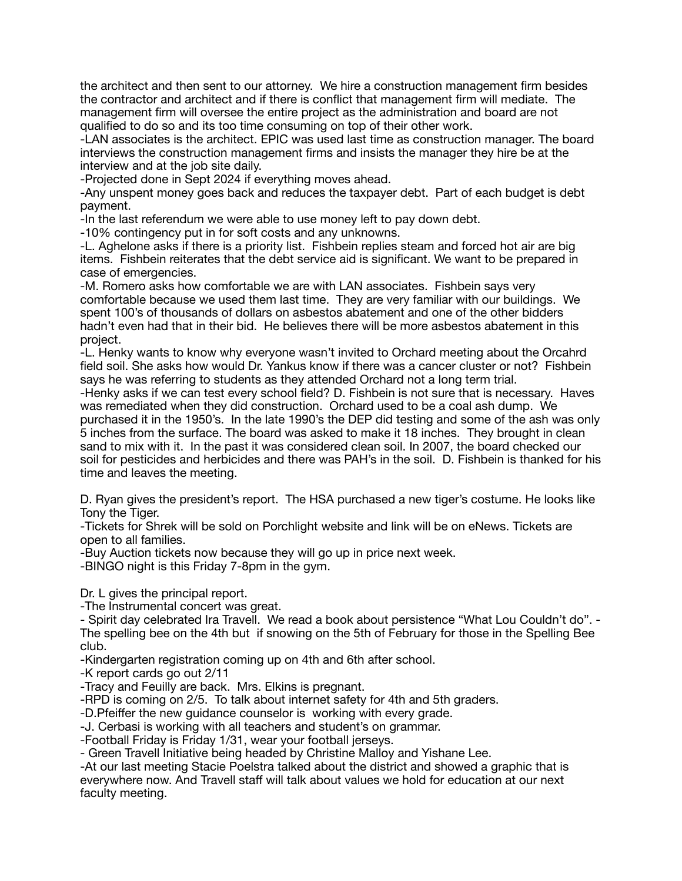the architect and then sent to our attorney. We hire a construction management firm besides the contractor and architect and if there is conflict that management firm will mediate. The management firm will oversee the entire project as the administration and board are not qualified to do so and its too time consuming on top of their other work.

-LAN associates is the architect. EPIC was used last time as construction manager. The board interviews the construction management firms and insists the manager they hire be at the interview and at the job site daily.

-Projected done in Sept 2024 if everything moves ahead.

-Any unspent money goes back and reduces the taxpayer debt. Part of each budget is debt payment.

-In the last referendum we were able to use money left to pay down debt.

-10% contingency put in for soft costs and any unknowns.

-L. Aghelone asks if there is a priority list. Fishbein replies steam and forced hot air are big items. Fishbein reiterates that the debt service aid is significant. We want to be prepared in case of emergencies.

-M. Romero asks how comfortable we are with LAN associates. Fishbein says very comfortable because we used them last time. They are very familiar with our buildings. We spent 100's of thousands of dollars on asbestos abatement and one of the other bidders hadn't even had that in their bid. He believes there will be more asbestos abatement in this project.

-L. Henky wants to know why everyone wasn't invited to Orchard meeting about the Orcahrd field soil. She asks how would Dr. Yankus know if there was a cancer cluster or not? Fishbein says he was referring to students as they attended Orchard not a long term trial.

-Henky asks if we can test every school field? D. Fishbein is not sure that is necessary. Haves was remediated when they did construction. Orchard used to be a coal ash dump. We purchased it in the 1950's. In the late 1990's the DEP did testing and some of the ash was only 5 inches from the surface. The board was asked to make it 18 inches. They brought in clean sand to mix with it. In the past it was considered clean soil. In 2007, the board checked our soil for pesticides and herbicides and there was PAH's in the soil. D. Fishbein is thanked for his time and leaves the meeting.

D. Ryan gives the president's report. The HSA purchased a new tiger's costume. He looks like Tony the Tiger.

-Tickets for Shrek will be sold on Porchlight website and link will be on eNews. Tickets are open to all families.

-Buy Auction tickets now because they will go up in price next week.

-BINGO night is this Friday 7-8pm in the gym.

Dr. L gives the principal report.

-The Instrumental concert was great.

- Spirit day celebrated Ira Travell. We read a book about persistence "What Lou Couldn't do". - The spelling bee on the 4th but if snowing on the 5th of February for those in the Spelling Bee club.

-Kindergarten registration coming up on 4th and 6th after school.

-K report cards go out 2/11

-Tracy and Feuilly are back. Mrs. Elkins is pregnant.

-RPD is coming on 2/5. To talk about internet safety for 4th and 5th graders.

-D.Pfeiffer the new guidance counselor is working with every grade.

-J. Cerbasi is working with all teachers and student's on grammar.

-Football Friday is Friday 1/31, wear your football jerseys.

- Green Travell Initiative being headed by Christine Malloy and Yishane Lee.

-At our last meeting Stacie Poelstra talked about the district and showed a graphic that is everywhere now. And Travell staff will talk about values we hold for education at our next faculty meeting.